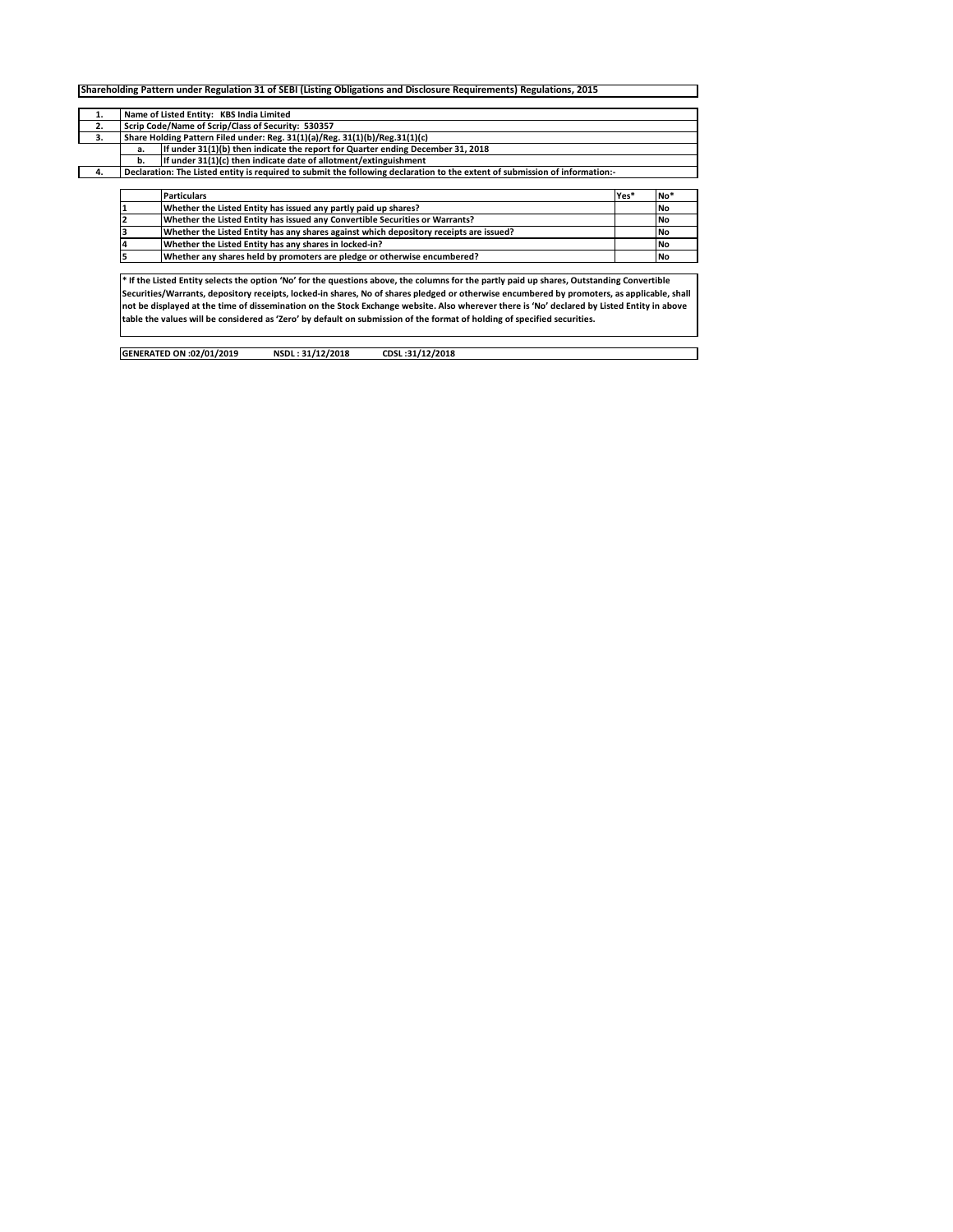| 1. |    | Name of Listed Entity: KBS India Limited                                                                                                    |      |     |  |  |  |  |  |  |  |  |  |
|----|----|---------------------------------------------------------------------------------------------------------------------------------------------|------|-----|--|--|--|--|--|--|--|--|--|
| 2. |    | Scrip Code/Name of Scrip/Class of Security: 530357                                                                                          |      |     |  |  |  |  |  |  |  |  |  |
| 3. |    | Share Holding Pattern Filed under: Reg. 31(1)(a)/Reg. 31(1)(b)/Reg.31(1)(c)                                                                 |      |     |  |  |  |  |  |  |  |  |  |
|    | a. | If under 31(1)(b) then indicate the report for Quarter ending December 31, 2018                                                             |      |     |  |  |  |  |  |  |  |  |  |
|    | b. | If under 31(1)(c) then indicate date of allotment/extinguishment                                                                            |      |     |  |  |  |  |  |  |  |  |  |
| 4. |    | Declaration: The Listed entity is required to submit the following declaration to the extent of submission of information:-                 |      |     |  |  |  |  |  |  |  |  |  |
|    |    |                                                                                                                                             |      |     |  |  |  |  |  |  |  |  |  |
|    |    | <b>Particulars</b>                                                                                                                          | Yes* | No* |  |  |  |  |  |  |  |  |  |
|    |    | Whether the Listed Entity has issued any partly paid up shares?                                                                             |      | No  |  |  |  |  |  |  |  |  |  |
|    |    | Whether the Listed Entity has issued any Convertible Securities or Warrants?                                                                |      | No  |  |  |  |  |  |  |  |  |  |
|    |    | Whether the Listed Entity has any shares against which depository receipts are issued?                                                      |      | No  |  |  |  |  |  |  |  |  |  |
|    |    | Whether the Listed Entity has any shares in locked-in?                                                                                      |      | No  |  |  |  |  |  |  |  |  |  |
|    |    | Whether any shares held by promoters are pledge or otherwise encumbered?                                                                    |      | No  |  |  |  |  |  |  |  |  |  |
|    |    |                                                                                                                                             |      |     |  |  |  |  |  |  |  |  |  |
|    |    | * If the Listed Entity selects the option 'No' for the questions above, the columns for the partly paid up shares, Outstanding Convertible  |      |     |  |  |  |  |  |  |  |  |  |
|    |    | Securities/Warrants, depository receipts, locked-in shares, No of shares pledged or otherwise encumbered by promoters, as applicable, shall |      |     |  |  |  |  |  |  |  |  |  |
|    |    | not be displayed at the time of dissemination on the Stock Exchange website. Also wherever there is 'No' declared by Listed Entity in above |      |     |  |  |  |  |  |  |  |  |  |
|    |    | table the values will be considered as 'Zero' by default on submission of the format of holding of specified securities.                    |      |     |  |  |  |  |  |  |  |  |  |

 $\Box$ 

| GENERATED ON :02/01/2019 | NSDL: 31/12/2018 | CDSL:31/12/2018 |
|--------------------------|------------------|-----------------|
|                          |                  |                 |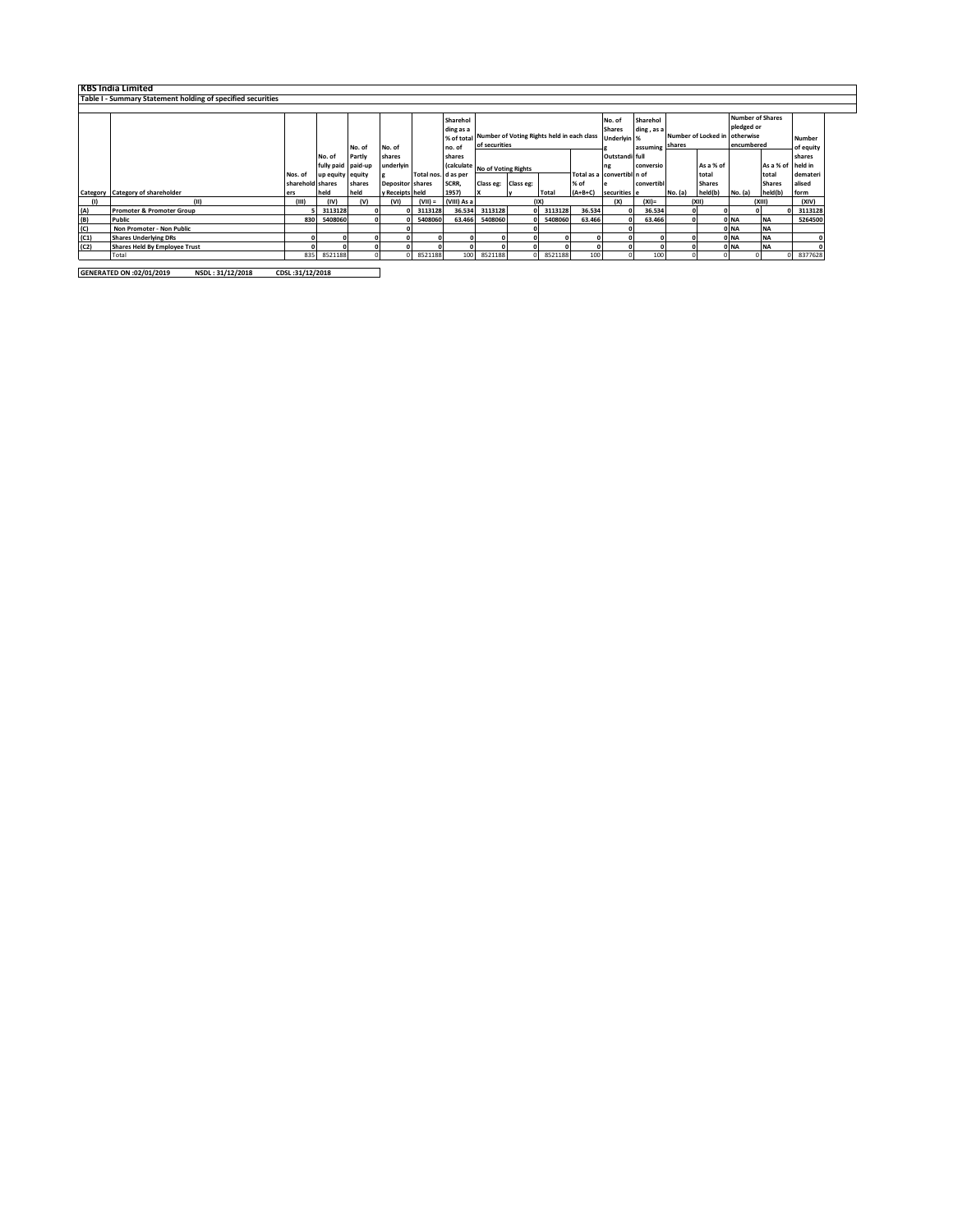|      | <b>KBS India Limited</b>                                    |                  |                    |          |                         |                     |             |                                |                                                       |         |           |                            |             |         |                     |                         |                   |           |
|------|-------------------------------------------------------------|------------------|--------------------|----------|-------------------------|---------------------|-------------|--------------------------------|-------------------------------------------------------|---------|-----------|----------------------------|-------------|---------|---------------------|-------------------------|-------------------|-----------|
|      | Table I - Summary Statement holding of specified securities |                  |                    |          |                         |                     |             |                                |                                                       |         |           |                            |             |         |                     |                         |                   |           |
|      |                                                             |                  |                    |          |                         |                     |             |                                |                                                       |         |           |                            |             |         |                     |                         |                   |           |
|      |                                                             |                  |                    |          |                         |                     | Sharehol    |                                |                                                       |         |           | No. of                     | Sharehol    |         |                     | <b>Number of Shares</b> |                   |           |
|      |                                                             |                  |                    |          |                         |                     | ding as a   |                                |                                                       |         |           | <b>Shares</b>              | ding, as a  |         |                     | pledged or              |                   |           |
|      |                                                             |                  |                    |          |                         |                     |             |                                | % of total Number of Voting Rights held in each class |         |           |                            | Underlyin % |         | Number of Locked in | otherwise               |                   | Number    |
|      |                                                             |                  |                    | No. of   | No. of                  |                     | no. of      | of securities                  |                                                       |         |           | assuming                   |             | shares  |                     | encumbered              |                   | of equity |
|      |                                                             |                  | No. of             | Partly   | shares                  |                     | shares      |                                |                                                       |         |           | Outstandi full             |             |         |                     |                         |                   | shares    |
|      |                                                             |                  | fully paid paid-up |          | underlyin               |                     |             | (calculate No of Voting Rights |                                                       |         |           | ng                         | conversio   |         | As a % of           |                         | As a % of held in |           |
|      |                                                             | Nos. of          | up equity equity   |          |                         | Total nos. d as per |             |                                |                                                       |         |           | Total as a convertibl n of |             |         | total               |                         | total             | demateri  |
|      |                                                             | sharehold shares |                    | shares   | <b>Depositor</b> shares |                     | SCRR,       | Class eg: Class eg:            |                                                       |         | % of      |                            | convertib   |         | <b>Shares</b>       |                         | <b>Shares</b>     | alised    |
|      | Category Category of shareholder                            | ers              | held               | held     | y Receipts held         |                     | 1957)       |                                | v                                                     | Total   | $(A+B+C)$ | securities e               |             | No. (a) | held(b)             | No. (a)                 | held(b)           | form      |
|      | (11)                                                        | (III)            | (IV)               | (v)      | (VI)                    | $(VII) =$           | (VIII) As a |                                |                                                       | (IX)    |           | (X)                        | $(XI)$ =    |         | (X  )               |                         | (X  )             | (XIV)     |
| (A)  | <b>Promoter &amp; Promoter Group</b>                        |                  | 3113128            |          |                         | 3113128             | 36.534      | 3113128                        |                                                       | 3113128 | 36.534    |                            | 36.534      |         |                     |                         |                   | 3113128   |
| (B)  | Public                                                      | 830              | 5408060            | $\Omega$ |                         | 5408060             | 63.466      | 5408060                        |                                                       | 5408060 | 63.466    |                            | 63.466      |         |                     | 0 NA                    | <b>NA</b>         | 5264500   |
| (C)  | Non Promoter - Non Public                                   |                  |                    |          |                         |                     |             |                                |                                                       |         |           |                            |             |         |                     | 0 NA                    | <b>NA</b>         |           |
| (C1) | <b>Shares Underlying DRs</b>                                |                  |                    |          |                         |                     |             |                                |                                                       |         |           |                            |             |         |                     | 0 NA                    | <b>NA</b>         |           |
| (C2) | <b>Shares Held By Employee Trust</b>                        |                  |                    |          |                         |                     |             |                                |                                                       |         |           |                            |             |         |                     | 0 NA                    | <b>NA</b>         |           |
|      | Total                                                       | 835              | 8521188            |          |                         | 8521188             | 100         | 8521188                        |                                                       | 8521188 | 100       |                            | 100         |         |                     |                         |                   | 8377628   |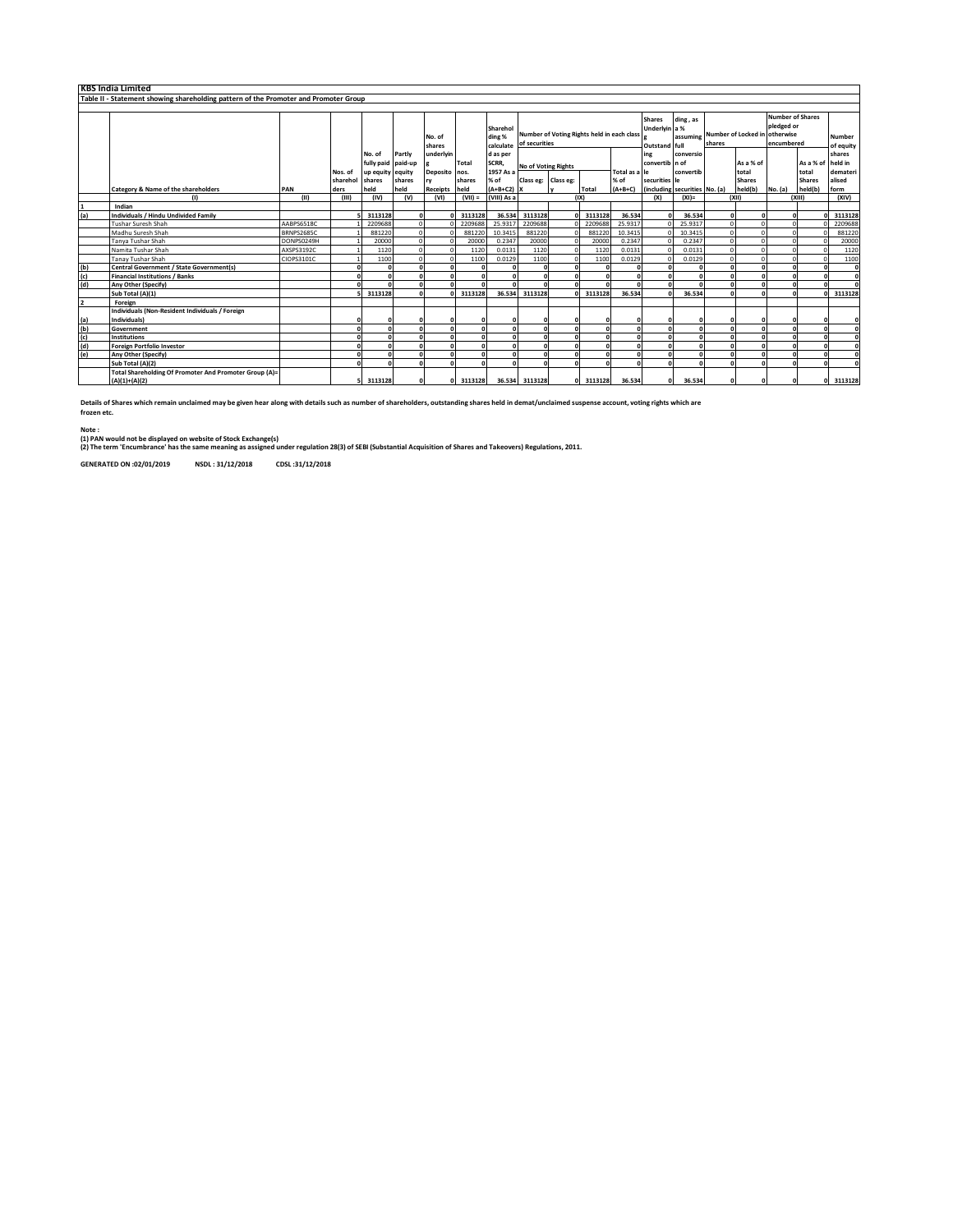|               | <b>KBS India Limited</b>                                                             |                   |          |                    |        |                  |              |                                 |                                                             |   |            |                                                 |                               |           |                                                                                               |               |         |                            |              |
|---------------|--------------------------------------------------------------------------------------|-------------------|----------|--------------------|--------|------------------|--------------|---------------------------------|-------------------------------------------------------------|---|------------|-------------------------------------------------|-------------------------------|-----------|-----------------------------------------------------------------------------------------------|---------------|---------|----------------------------|--------------|
|               | Table II - Statement showing shareholding pattern of the Promoter and Promoter Group |                   |          |                    |        |                  |              |                                 |                                                             |   |            |                                                 |                               |           |                                                                                               |               |         |                            |              |
|               |                                                                                      |                   |          |                    |        |                  |              |                                 |                                                             |   |            |                                                 |                               |           |                                                                                               |               |         |                            |              |
|               |                                                                                      |                   |          |                    |        | No. of<br>shares |              | Sharehol<br>ding %<br>calculate | Number of Voting Rights held in each class<br>of securities |   |            | <b>Shares</b><br>Underlyin a %<br>Outstand full | ding, as                      | shares    | <b>Number of Shares</b><br>pledged or<br>assuming Number of Locked in otherwise<br>encumbered |               |         | <b>Number</b><br>of equity |              |
|               |                                                                                      |                   |          | No. of             | Partly | underlyin        |              | d as per                        |                                                             |   |            |                                                 | ing                           | conversio |                                                                                               |               |         |                            | shares       |
|               |                                                                                      |                   |          | fully paid paid-up |        |                  | <b>Total</b> | SCRR,                           | No of Voting Rights                                         |   |            |                                                 | convertib n of                |           |                                                                                               | As a % of     |         | As a % of held in          |              |
|               |                                                                                      |                   | Nos. of  | up equity equity   |        | Deposito nos.    |              | 1957 As a                       |                                                             |   |            | Total as a le                                   |                               | convertib |                                                                                               | total         |         | total                      | demateri     |
|               |                                                                                      |                   | sharehol | shares             | shares | rv               | shares       | % of                            | Class eg: Class eg:                                         |   |            | % of                                            | securities le                 |           |                                                                                               | <b>Shares</b> |         | <b>Shares</b>              | alised       |
|               | <b>Category &amp; Name of the shareholders</b>                                       | PAN               | ders     | held               | held   | Receipts held    |              | $(A+B+C2)$ X                    |                                                             |   | Total      | $(A+B+C)$                                       | (including securities No. (a) |           |                                                                                               | held(b)       | No. (a) | held(b)                    | form         |
|               | (1)                                                                                  | (11)              | (III)    | (IV)               | (v)    | (VI)             | $(VII) =$    | (VIII) As a                     |                                                             |   | (1)        |                                                 | (X)                           | $(XI) =$  |                                                                                               | (X  )         |         | (X  )                      | (XIV)        |
|               | Indian                                                                               |                   |          |                    |        |                  |              |                                 |                                                             |   |            |                                                 |                               |           |                                                                                               |               |         |                            |              |
| (a)           | Individuals / Hindu Undivided Family                                                 |                   |          | 3113128            |        |                  | 3113128      | 36.534                          | 3113128<br>2209688                                          |   | 3113128    | 36.534                                          | $\sqrt{2}$                    | 36.534    |                                                                                               |               |         |                            | 3113128      |
|               | <b>Tushar Suresh Shah</b>                                                            | AABPS6518C        |          | 2209688            |        |                  | 2209688      | 25.9317                         |                                                             |   | 2209688    | 25.9317                                         |                               | 25.9317   | $\Omega$                                                                                      |               |         |                            | 2209688      |
|               | Madhu Suresh Shah                                                                    | <b>BRNPS2685C</b> |          | 881220             |        |                  | 881220       | 10.3415                         | 881220                                                      |   | 881220     | 10.3415                                         |                               | 10.3415   |                                                                                               |               |         |                            | 881220       |
|               | Tanya Tushar Shah                                                                    | DONPS0249H        |          | 20000              |        |                  | 20000        | 0.2347                          | 20000                                                       |   | 20000      | 0.2347                                          |                               | 0.2347    |                                                                                               |               |         |                            | 20000        |
|               | Namita Tushar Shah                                                                   | AXSPS3192C        |          | 1120               |        |                  | 1120         | 0.0131                          | 1120                                                        |   | 1120       | 0.0131                                          |                               | 0.0131    |                                                                                               |               |         |                            | 1120         |
|               | <b>Tanay Tushar Shah</b>                                                             | CIOPS3101C        |          | 1100               |        |                  | 1100         | 0.0129                          | 1100                                                        |   | 1100       | 0.0129                                          | $\sqrt{2}$                    | 0.0129    |                                                                                               |               |         |                            | 1100         |
| $\frac{1}{2}$ | Central Government / State Government(s)                                             |                   |          |                    |        |                  |              |                                 |                                                             |   |            |                                                 | $\Omega$                      |           |                                                                                               |               |         |                            | $\mathbf{0}$ |
|               | <b>Financial Institutions / Banks</b>                                                |                   |          |                    |        |                  | n            |                                 |                                                             |   | $\sqrt{2}$ | $\sqrt{2}$                                      | $\mathbf{r}$                  | $\Omega$  |                                                                                               |               |         |                            | $\Omega$     |
| (d)           | Any Other (Specify)                                                                  |                   |          |                    |        |                  |              |                                 |                                                             |   |            |                                                 | $\mathbf{r}$                  |           |                                                                                               |               |         |                            | n            |
|               | Sub Total (A)(1)                                                                     |                   |          | 3113128            |        |                  | 3113128      | 36.534                          | 3113128                                                     | n | 3113128    | 36.534                                          | $\sqrt{2}$                    | 36.534    |                                                                                               |               |         |                            | 3113128      |
| 2             | Foreign                                                                              |                   |          |                    |        |                  |              |                                 |                                                             |   |            |                                                 |                               |           |                                                                                               |               |         |                            |              |
|               | Individuals (Non-Resident Individuals / Foreign                                      |                   |          |                    |        |                  |              |                                 |                                                             |   |            |                                                 |                               |           |                                                                                               |               |         |                            |              |
| (a)           | Individuals)                                                                         |                   |          |                    |        |                  |              |                                 |                                                             |   |            |                                                 |                               |           |                                                                                               |               |         |                            | o            |
| (b)           | Government                                                                           |                   |          |                    |        |                  |              |                                 |                                                             |   |            | n                                               | $\Omega$                      | $\Omega$  |                                                                                               |               |         |                            | $\Omega$     |
| (c)           | <b>Institutions</b>                                                                  |                   |          |                    |        |                  |              |                                 |                                                             |   |            |                                                 | $\mathbf{r}$                  | n         |                                                                                               |               |         |                            | $\sqrt{2}$   |
| (d)           | <b>Foreign Portfolio Investor</b>                                                    |                   |          |                    |        |                  |              |                                 |                                                             |   |            |                                                 | $\sqrt{2}$                    |           |                                                                                               |               |         |                            | O            |
| (e)           | Any Other (Specify)                                                                  |                   |          |                    |        |                  |              |                                 |                                                             |   |            |                                                 | $\sqrt{2}$                    |           |                                                                                               |               |         |                            | n            |
|               | Sub Total (A)(2)                                                                     |                   |          |                    |        |                  |              |                                 |                                                             | n |            |                                                 | $\mathbf{r}$                  | $\Omega$  |                                                                                               |               |         |                            |              |
|               | Total Shareholding Of Promoter And Promoter Group (A)=                               |                   |          |                    |        |                  |              |                                 |                                                             |   |            |                                                 |                               |           |                                                                                               |               |         |                            |              |
|               | $(A)(1)+(A)(2)$                                                                      |                   |          | 3113128            |        |                  | 3113128      |                                 | 36.534 3113128                                              |   | 3113128    | 36.534                                          | $\Omega$                      | 36.534    |                                                                                               |               |         |                            | 3113128      |

**Details of Shares which remain unclaimed may be given hear along with details such as number of shareholders, outstanding shares held in demat/unclaimed suspense account, voting rights which are frozen etc.**

**Note :**

(1) PAN would not be displayed on website of Stock Exchange(s)<br>(2) The term 'Encumbrance' has the same meaning as assigned under regulation 28(3) of SEBI (Substantial Acquisition of Shares and Takeovers) Regulations, 2011.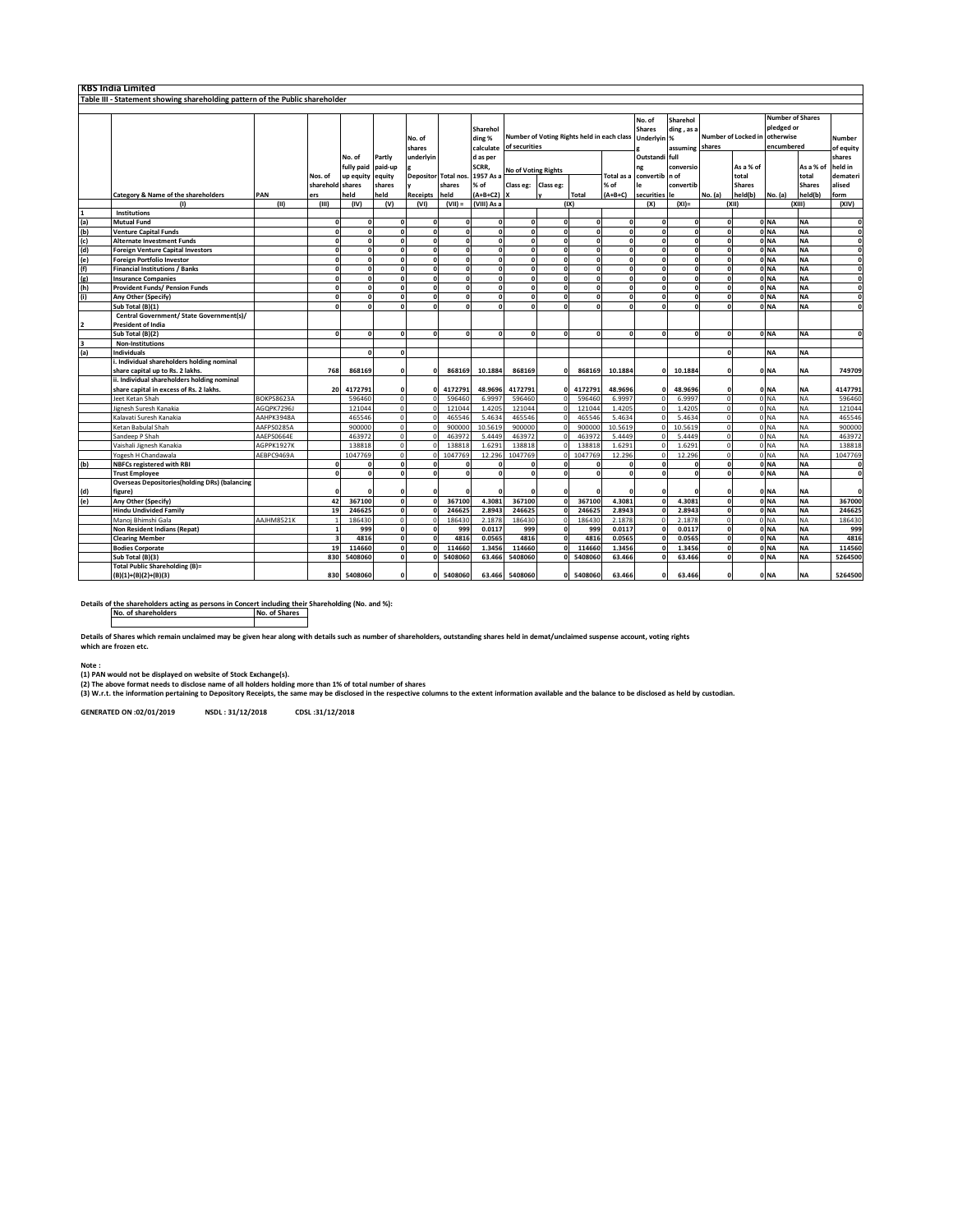|                                                                                                                          | <b>KBS India Limited</b>                                                     |                   |                  |            |         |                  |                  |                                 |                                                             |              |              |                                      |                                         |                               |                         |                                                                  |                 |                     |              |
|--------------------------------------------------------------------------------------------------------------------------|------------------------------------------------------------------------------|-------------------|------------------|------------|---------|------------------|------------------|---------------------------------|-------------------------------------------------------------|--------------|--------------|--------------------------------------|-----------------------------------------|-------------------------------|-------------------------|------------------------------------------------------------------|-----------------|---------------------|--------------|
|                                                                                                                          | Table III - Statement showing shareholding pattern of the Public shareholder |                   |                  |            |         |                  |                  |                                 |                                                             |              |              |                                      |                                         |                               |                         |                                                                  |                 |                     |              |
|                                                                                                                          |                                                                              |                   |                  |            |         |                  |                  |                                 |                                                             |              |              |                                      |                                         |                               |                         |                                                                  |                 |                     |              |
|                                                                                                                          |                                                                              |                   |                  |            |         | No. of<br>shares |                  | Sharehol<br>ding %<br>calculate | Number of Voting Rights held in each class<br>of securities |              |              | No. of<br><b>Shares</b><br>Underlvin | Sharehol<br>ding, as a<br>%<br>assuming | Number of Locked in<br>shares |                         | <b>Number of Shares</b><br>pledged or<br>otherwise<br>encumbered |                 | Number<br>of equity |              |
|                                                                                                                          |                                                                              |                   |                  | No. of     | Partly  | underlyin        |                  | d as per                        |                                                             |              |              |                                      | Outstandi full                          |                               |                         |                                                                  |                 |                     | shares       |
|                                                                                                                          |                                                                              |                   |                  | fully paid | paid-up |                  |                  | SCRR,                           |                                                             |              |              |                                      | ng                                      | conversio                     |                         | As a % of                                                        |                 | As a % of           | held in      |
|                                                                                                                          |                                                                              |                   | Nos. of          | up equity  | equity  | Depositor        | <b>Total nos</b> | 1957 As a                       | <b>No of Voting Rights</b>                                  |              |              | <b>Total</b> as                      | convertib n of                          |                               |                         | total                                                            |                 | total               | demateri     |
|                                                                                                                          |                                                                              |                   | sharehold shares |            | shares  |                  | shares           | % of                            | Class eg:                                                   | Class eg:    |              | % of                                 | le                                      | convertib                     |                         | <b>Shares</b>                                                    |                 | <b>Shares</b>       | alised       |
|                                                                                                                          | Category & Name of the shareholders                                          | PAN               | ers              | held       | held    | Receipts         | held             | $(A+B+C2)$                      |                                                             |              | Total        | $(A+B+C)$                            | securities                              | le                            | No. (a)                 | held(b)                                                          | No. (a)         | held(b)             | form         |
|                                                                                                                          | т                                                                            | (11)              | (III)            | (IV)       | (V)     | (VI)             | $(VII) =$        | (VIII) As a                     |                                                             |              | (IX)         |                                      | (X)                                     | $(XI) =$                      |                         | (x  )                                                            |                 | (XIII)              | (XIV)        |
|                                                                                                                          | <b>Institutions</b>                                                          |                   |                  |            |         |                  |                  |                                 |                                                             |              |              |                                      |                                         |                               |                         |                                                                  |                 |                     |              |
|                                                                                                                          | <b>Mutual Fund</b>                                                           |                   | $\Omega$         | C          |         |                  |                  | $\mathbf{r}$                    | $\mathbf{r}$                                                | n            | $\Omega$     | $\Omega$                             |                                         |                               | $\mathbf{o}$            |                                                                  | 0 <sub>NA</sub> | <b>NA</b>           | $\mathbf{0}$ |
|                                                                                                                          | <b>Venture Capital Funds</b>                                                 |                   | $\mathbf 0$      |            |         |                  |                  | $\mathbf{0}$                    |                                                             | $\Omega$     |              | n                                    |                                         |                               | $\mathbf{0}$            |                                                                  | 0 <sub>NA</sub> | <b>NA</b>           | $\mathbf{0}$ |
| $\begin{array}{c} \underline{1} \\ \underline{(a)} \\ \underline{(b)} \\ \underline{(c)} \\ \underline{(d)} \end{array}$ | <b>Alternate Investment Funds</b>                                            |                   | $\mathbf{0}$     | n          |         |                  | $\mathbf{a}$     | o                               |                                                             | o            | $\mathbf{0}$ | $\mathbf{o}$                         | n                                       | $\mathbf{r}$                  | o                       |                                                                  | 0 <sub>NA</sub> | <b>NA</b>           | $\mathbf{0}$ |
|                                                                                                                          | <b>Foreign Venture Capital Investors</b>                                     |                   | $\mathbf{0}$     | $\Omega$   |         |                  | $\Omega$         | o                               |                                                             | 0            | $\mathbf{0}$ | $\Omega$                             | n                                       | n                             | $\overline{\mathbf{0}}$ |                                                                  | 0 <sub>NA</sub> | <b>NA</b>           | $\Omega$     |
|                                                                                                                          | <b>Foreign Portfolio Investor</b>                                            |                   | $\mathbf{o}$     | n          |         | n                |                  | $\mathbf{o}$                    |                                                             | o            | $\mathbf{a}$ | $\mathbf{0}$                         |                                         | n                             | o                       |                                                                  | 0 <sub>NA</sub> | <b>NA</b>           | $\mathbf{0}$ |
| (e)<br>(f)<br>(g)                                                                                                        | <b>Financial Institutions / Banks</b>                                        |                   | $\mathbf 0$      | o          |         |                  |                  | 0                               | $\Omega$                                                    | $\Omega$     | $\Omega$     | $\Omega$                             |                                         | n                             | o                       |                                                                  | 0 <sub>NA</sub> | <b>NA</b>           | $\Omega$     |
|                                                                                                                          |                                                                              |                   | $\mathbf{o}$     | n          |         |                  |                  | $\mathbf{0}$                    |                                                             |              |              | $\mathbf{a}$                         |                                         |                               | $\mathbf{o}$            |                                                                  | 0 <sub>NA</sub> | <b>NA</b>           | n            |
|                                                                                                                          | <b>Insurance Companies</b>                                                   |                   | $\mathbf{0}$     |            |         |                  |                  | $\mathbf{0}$                    |                                                             | $\mathbf{r}$ | $\Omega$     | $\mathbf{0}$                         |                                         |                               | ō                       |                                                                  |                 | <b>NA</b>           | $\mathbf{0}$ |
| $\frac{\text{(h)}}{\text{(i)}}$                                                                                          | <b>Provident Funds/ Pension Funds</b>                                        |                   |                  |            |         |                  |                  |                                 |                                                             |              |              |                                      |                                         |                               |                         |                                                                  | 0 <sub>NA</sub> |                     |              |
|                                                                                                                          | Any Other (Specify)                                                          |                   | $\Omega$         | n          |         | n                | $\Omega$         | o                               | $\mathbf{a}$                                                | $\mathbf{a}$ | $\Omega$     | $\Omega$                             | n                                       | n                             | o                       |                                                                  | 0 NA            | <b>NA</b>           | $\Omega$     |
|                                                                                                                          | Sub Total (B)(1)                                                             |                   | $\Omega$         |            |         |                  |                  | $\mathbf{r}$                    |                                                             | n            |              | $\Omega$                             |                                         |                               | $\mathbf{o}$            |                                                                  | 0 NA            | <b>NA</b>           | O            |
| 2                                                                                                                        | Central Government/ State Government(s)/<br><b>President of India</b>        |                   |                  |            |         |                  |                  |                                 |                                                             |              |              |                                      |                                         |                               |                         |                                                                  |                 |                     |              |
|                                                                                                                          | Sub Total (B)(2)                                                             |                   | $\Omega$         | n          |         |                  |                  | n                               | $\mathbf{a}$                                                | $\sqrt{2}$   | $\Omega$     | $\Omega$                             |                                         |                               | o                       |                                                                  | 0 <sub>NA</sub> | <b>NA</b>           | $\mathbf{0}$ |
| 3                                                                                                                        | <b>Non-Institutions</b>                                                      |                   |                  |            |         |                  |                  |                                 |                                                             |              |              |                                      |                                         |                               |                         |                                                                  |                 |                     |              |
| (a)                                                                                                                      | <b>Individuals</b>                                                           |                   |                  | n          |         |                  |                  |                                 |                                                             |              |              |                                      |                                         |                               | o                       |                                                                  | <b>NA</b>       | <b>NA</b>           |              |
|                                                                                                                          | i. Individual shareholders holding nominal                                   |                   |                  |            |         |                  |                  |                                 |                                                             |              |              |                                      |                                         |                               |                         |                                                                  |                 |                     |              |
|                                                                                                                          | share capital up to Rs. 2 lakhs.                                             |                   | 768              | 868169     |         |                  | 868169           | 10.1884                         | 868169                                                      |              | 868169       | 10.1884                              |                                         | 10.1884                       | n                       |                                                                  | 0 NA            | <b>NA</b>           | 749709       |
|                                                                                                                          | ii. Individual shareholders holding nominal                                  |                   |                  |            |         |                  |                  |                                 |                                                             |              |              |                                      |                                         |                               |                         |                                                                  |                 |                     |              |
|                                                                                                                          | share capital in excess of Rs. 2 lakhs.                                      |                   | 20               | 4172791    |         |                  | 417279           | 48.9696                         | 4172791                                                     |              | 4172791      | 48.9696                              |                                         | 48.9696                       | O                       |                                                                  | 0 NA            | <b>NA</b>           | 4147791      |
|                                                                                                                          | Jeet Ketan Shah                                                              | <b>BOKPS8623A</b> |                  | 596460     |         |                  | 596460           | 6.9997                          | 596460                                                      |              | 596460       | 6.9997                               |                                         | 6.9997                        | $\Omega$                |                                                                  | 0 <sub>NA</sub> | <b>NA</b>           | 596460       |
|                                                                                                                          | Jignesh Suresh Kanakia                                                       | AGOPK7296J        |                  | 121044     |         |                  | 12104            | 1.4205                          | 121044                                                      |              | 121044       | 1.4205                               |                                         | 1.4205                        | $\circ$                 |                                                                  | 0 NA            | <b>NA</b>           | 121044       |
|                                                                                                                          | Kalavati Suresh Kanakia                                                      | AAHPK3948A        |                  | 465546     |         |                  | 465546           | 5.4634                          | 465546                                                      |              | 465546       | 5.4634                               |                                         | 5.4634                        | $\Omega$                |                                                                  | 0 <sub>NA</sub> | <b>NA</b>           | 465546       |
|                                                                                                                          | Ketan Babulal Shah                                                           | AAFPS0285A        |                  | 900000     |         |                  | 90000            | 10.5619                         | 90000                                                       |              | 900000       | 10.5619                              |                                         | 10.5619                       | $\circ$                 |                                                                  | 0 NA            | <b>NA</b>           | 900000       |
|                                                                                                                          | Sandeep P Shah                                                               | AAEPS0664E        |                  | 463972     |         |                  | 46397            | 5.4449                          | 463972                                                      |              | 463972       | 5.4449                               |                                         | 5.4449                        | $\circ$                 |                                                                  | 0 NA            | <b>NA</b>           | 463972       |
|                                                                                                                          | Vaishali Jignesh Kanakia                                                     | AGPPK1927K        |                  | 138818     |         |                  | 13881            | 1.6291                          | 138818                                                      | $\Omega$     | 138818       | 1.6291                               |                                         | 1.629                         | $\circ$                 |                                                                  | 0 NA            | <b>NA</b>           | 138818       |
|                                                                                                                          | Yogesh H Chandawala                                                          | AEBPC9469A        |                  | 1047769    |         |                  | 1047769          | 12.296                          | 1047769                                                     |              | 1047769      | 12.296                               |                                         | 12.296                        | $\Omega$                |                                                                  | 0 <sub>NA</sub> | <b>NA</b>           | 1047769      |
| (b)                                                                                                                      | <b>NBFCs registered with RBI</b>                                             |                   | $\mathbf 0$      |            |         |                  |                  |                                 |                                                             |              |              |                                      |                                         |                               | $\mathbf{o}$            |                                                                  | 0 NA            | <b>NA</b>           | 0            |
|                                                                                                                          | <b>Trust Employee</b>                                                        |                   | $\mathbf{o}$     | n          |         |                  |                  | $\Omega$                        |                                                             | n            | $\Omega$     | $\Omega$                             | n                                       | n                             | $\overline{\mathbf{0}}$ |                                                                  | 0 <sub>NA</sub> | <b>NA</b>           | $\mathbf{0}$ |
|                                                                                                                          | <b>Overseas Depositories(holding DRs) (balancing</b>                         |                   |                  |            |         |                  |                  |                                 |                                                             |              |              |                                      |                                         |                               |                         |                                                                  |                 |                     |              |
|                                                                                                                          | figure)                                                                      |                   | $\Omega$         |            |         |                  |                  |                                 |                                                             |              |              | $\Omega$                             |                                         |                               | O                       |                                                                  | 0 NA            | <b>NA</b>           | n            |
| (d)<br>(e)                                                                                                               | Any Other (Specify)                                                          |                   | 42               | 367100     |         |                  | 367100           | 4.3081                          | 367100                                                      |              | 367100       | 4.3081                               |                                         | 4.3081                        | $\mathbf{o}$            |                                                                  | 0 <sub>NA</sub> | <b>NA</b>           | 367000       |
|                                                                                                                          | <b>Hindu Undivided Family</b>                                                |                   | 19               | 246625     |         |                  | 246625           | 2.8943                          | 246625                                                      |              | 246625       | 2.8943                               |                                         | 2.8943                        | ō                       |                                                                  | 0 <sub>NA</sub> | <b>NA</b>           | 246625       |
|                                                                                                                          | Manoj Bhimshi Gala                                                           | AAJHM8521K        | $\mathbf{1}$     | 186430     |         |                  | 18643            | 2.1878                          | 186430                                                      |              | 186430       | 2.1878                               |                                         | 2.1878                        | $\circ$                 |                                                                  | 0 NA            | <b>NA</b>           | 186430       |
|                                                                                                                          | <b>Non Resident Indians (Repat)</b>                                          |                   | $\mathbf{1}$     | 999        |         |                  | 999              | 0.0117                          | 999                                                         | O            | 999          | 0.0117                               |                                         | 0.0117                        | $\overline{0}$          |                                                                  | 0 <sub>NA</sub> | <b>NA</b>           | 999          |
|                                                                                                                          | <b>Clearing Member</b>                                                       |                   | 3                | 4816       |         |                  | 481              | 0.0565                          | 4816                                                        | $\Omega$     | 4816         | 0.0565                               |                                         | 0.0565                        | $\mathbf{o}$            |                                                                  | 0 NA            | <b>NA</b>           | 4816         |
|                                                                                                                          | <b>Bodies Corporate</b>                                                      |                   | 19               | 114660     |         |                  | 114660           | 1.3456                          | 114660                                                      |              | 114660       | 1.3456                               |                                         | 1.3456                        | o                       |                                                                  | 0 NA            | <b>NA</b>           | 114560       |
|                                                                                                                          | Sub Total (B)(3)                                                             |                   | 830              | 5408060    |         |                  | 540806           | 63.466                          | 5408060                                                     |              | 5408060      | 63.466                               |                                         | 63.466                        | C                       |                                                                  | 0 <sub>NA</sub> | <b>NA</b>           | 5264500      |
|                                                                                                                          | <b>Total Public Shareholding (B)=</b>                                        |                   |                  |            |         |                  |                  |                                 |                                                             |              |              |                                      |                                         |                               |                         |                                                                  |                 |                     |              |
|                                                                                                                          | $(B)(1)+(B)(2)+(B)(3)$                                                       |                   | 830              | 5408060    |         |                  | 5408060          | 63.466                          | 5408060                                                     | n            | 5408060      | 63.466                               |                                         | 63.466                        | O                       |                                                                  | 0 NA            | <b>NA</b>           | 5264500      |

**Details of the shareholders acting as persons in Concert including their Shareholding (No. and %): No. of shareholders No. of Shares**

**Details of Shares which remain unclaimed may be given hear along with details such as number of shareholders, outstanding shares held in demat/unclaimed suspense account, voting rights which are frozen etc.**

**Note : (1) PAN would not be displayed on website of Stock Exchange(s).** 

(2) The above format needs to disclose name of all holders holding more than 1% of total number of shares<br>(3) W.r.t. the information pertaining to Depository Receipts, the same may be disclosed in the respective columns to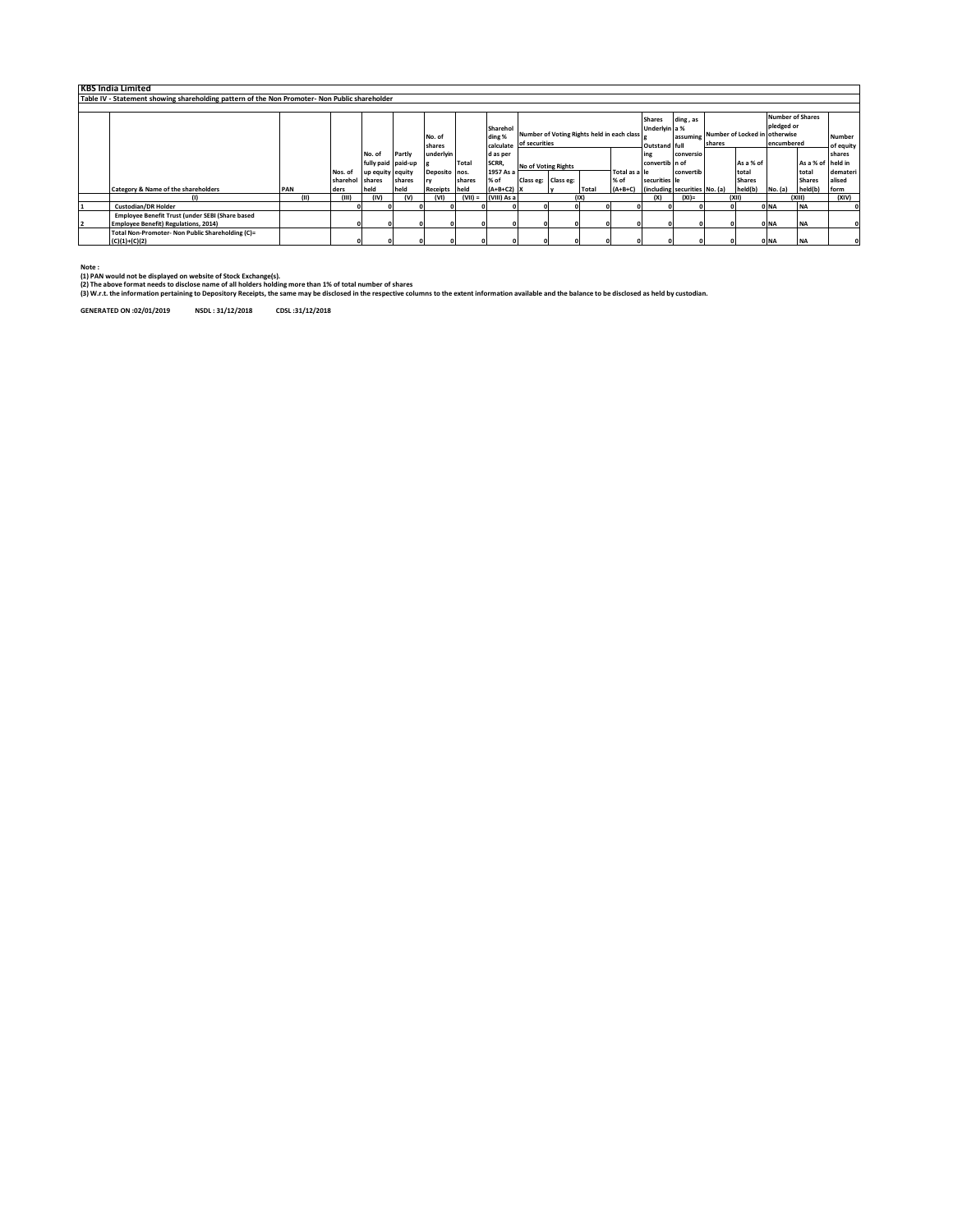|    | <b>KBS India Limited</b>                                                                      |     |      |                 |                      |        |               |              |              |                                            |                     |       |               |                                       |                                        |        |               |                         |                   |           |
|----|-----------------------------------------------------------------------------------------------|-----|------|-----------------|----------------------|--------|---------------|--------------|--------------|--------------------------------------------|---------------------|-------|---------------|---------------------------------------|----------------------------------------|--------|---------------|-------------------------|-------------------|-----------|
|    | Table IV - Statement showing shareholding pattern of the Non Promoter- Non Public shareholder |     |      |                 |                      |        |               |              |              |                                            |                     |       |               |                                       |                                        |        |               |                         |                   |           |
|    |                                                                                               |     |      |                 |                      |        |               |              |              |                                            |                     |       |               |                                       |                                        |        |               |                         |                   |           |
|    |                                                                                               |     |      |                 |                      |        |               |              |              |                                            |                     |       |               | <b>Shares</b>                         | ding, as                               |        |               | <b>Number of Shares</b> |                   |           |
|    |                                                                                               |     |      |                 |                      |        |               |              | Sharehol     |                                            |                     |       |               | Underlyin a %                         |                                        |        |               | pledged or              |                   |           |
|    |                                                                                               |     |      |                 |                      |        | No. of        |              | ding %       | Number of Voting Rights held in each class |                     |       |               |                                       | assuming Number of Locked in otherwise |        |               |                         | <b>Number</b>     |           |
|    |                                                                                               |     |      |                 |                      |        | shares        |              | calculate    | of securities                              |                     |       |               | Outstand full                         |                                        | shares |               | encumbered              |                   | of equity |
|    |                                                                                               |     |      |                 | No. of               | Partly | underlyin     |              | d as per     |                                            |                     |       |               | ing                                   | conversio                              |        |               |                         |                   | shares    |
|    |                                                                                               |     |      |                 | fully paid paid-up g |        |               | <b>Total</b> | SCRR,        | No of Voting Rights                        |                     |       |               | convertib in of                       |                                        |        | As a % of     |                         | As a % of held in |           |
|    |                                                                                               |     |      | Nos. of         | up equity equity     |        | Deposito nos. |              | 1957 As a    |                                            |                     |       | Total as a le |                                       | convertib                              |        | total         |                         | total             | demateri  |
|    |                                                                                               |     |      | sharehol shares |                      | shares |               | shares       | % of         |                                            | Class eg: Class eg: |       | % of          | securities le                         |                                        |        | <b>Shares</b> |                         | <b>Shares</b>     | alised    |
|    | Category & Name of the shareholders                                                           | PAN |      | ders            | held                 | held   | Receipts held |              | $(A+B+C2)$ X |                                            |                     | Total |               | (A+B+C) (including securities No. (a) |                                        |        | held(b)       | No. (a)                 | held(b)           | form      |
|    |                                                                                               |     | (11) | (III)           | (IV)                 |        | (VI)          | $(VII) =$    | (VIII) As a  |                                            |                     | (IX)  |               | (x)                                   | $(XI) =$                               |        | (X  )         |                         | (XIII)            | (XIV)     |
|    | <b>Custodian/DR Holder</b>                                                                    |     |      |                 |                      |        |               |              |              |                                            |                     |       |               |                                       |                                        |        |               | 0 <sub>NA</sub>         | <b>NA</b>         |           |
|    | Employee Benefit Trust (under SEBI (Share based                                               |     |      |                 |                      |        |               |              |              |                                            |                     |       |               |                                       |                                        |        |               |                         |                   |           |
| 12 | <b>Employee Benefit) Regulations, 2014)</b>                                                   |     |      |                 |                      |        |               |              |              |                                            |                     |       |               |                                       | ΩI                                     |        |               | 0 <sub>NA</sub>         | <b>NA</b>         |           |
|    | Total Non-Promoter- Non Public Shareholding (C)=                                              |     |      |                 |                      |        |               |              |              |                                            |                     |       |               |                                       |                                        |        |               |                         |                   |           |
|    | $(C)(1)+(C)(2)$                                                                               |     |      |                 |                      |        |               |              |              |                                            |                     |       |               |                                       |                                        |        |               | 0 NA                    | <b>NA</b>         |           |

**Note : (1) PAN would not be displayed on website of Stock Exchange(s).** 

(2) The above format needs to disclose name of all holders holding more than 1% of total number of shares<br>(3) W.r.t. the information pertaining to Depository Receipts, the same may be disclosed in the respective columns to